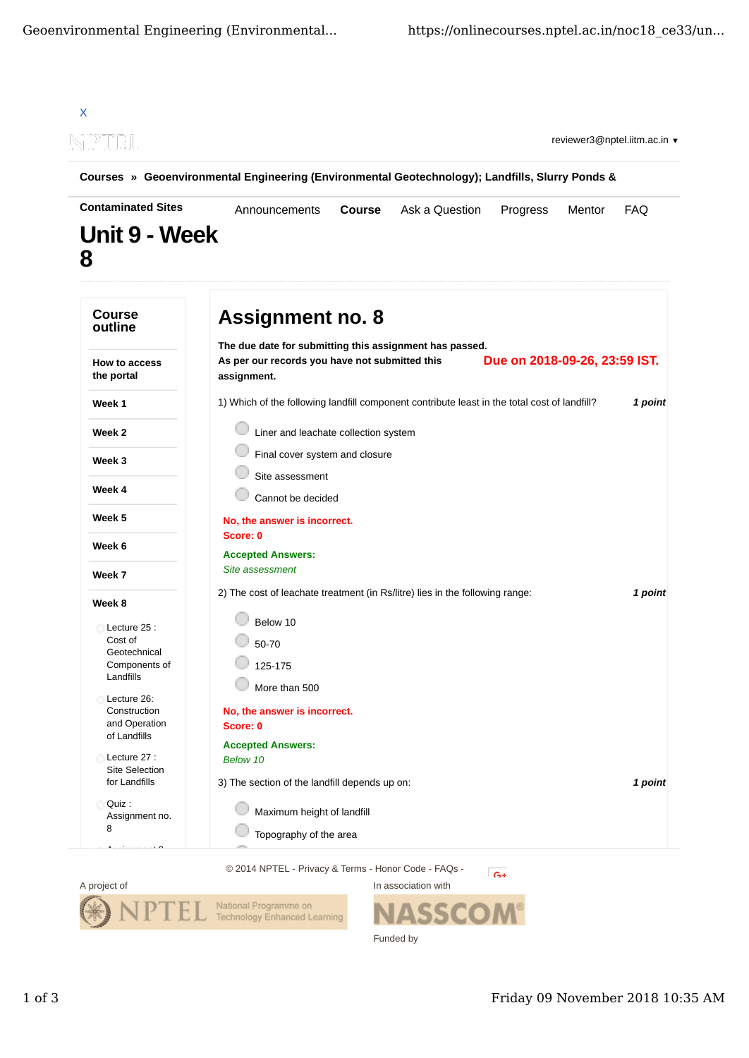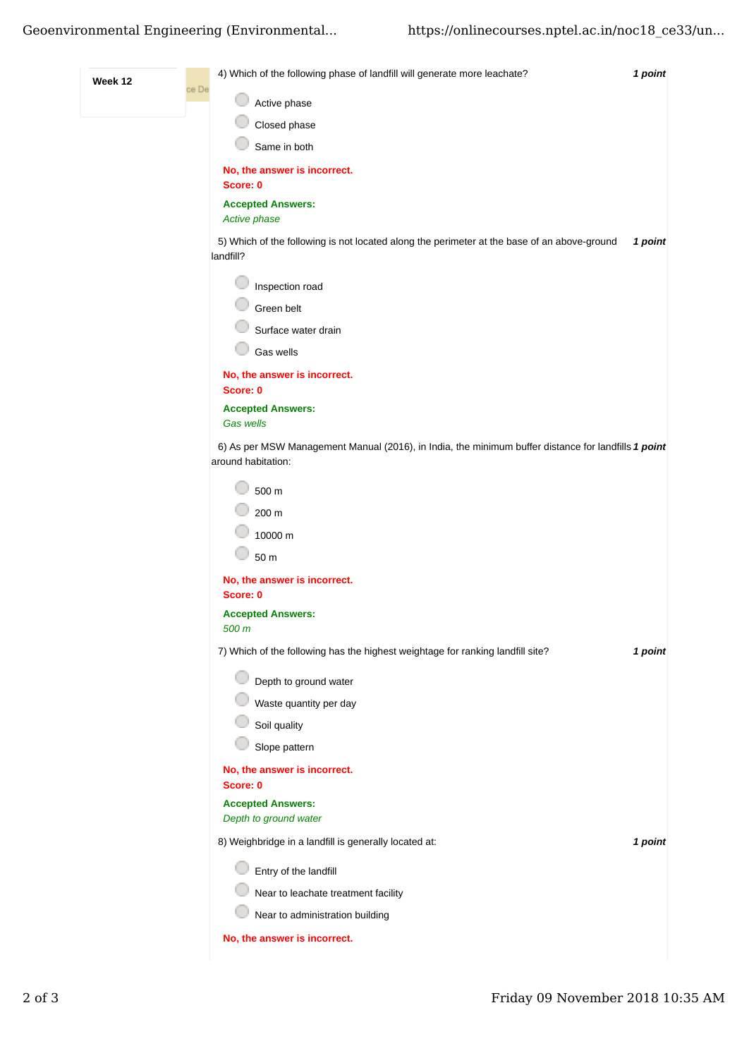## Geoenvironmental Engineering (Environmental... https://onlinecourses.nptel.ac.in/noc18 ce33/un...